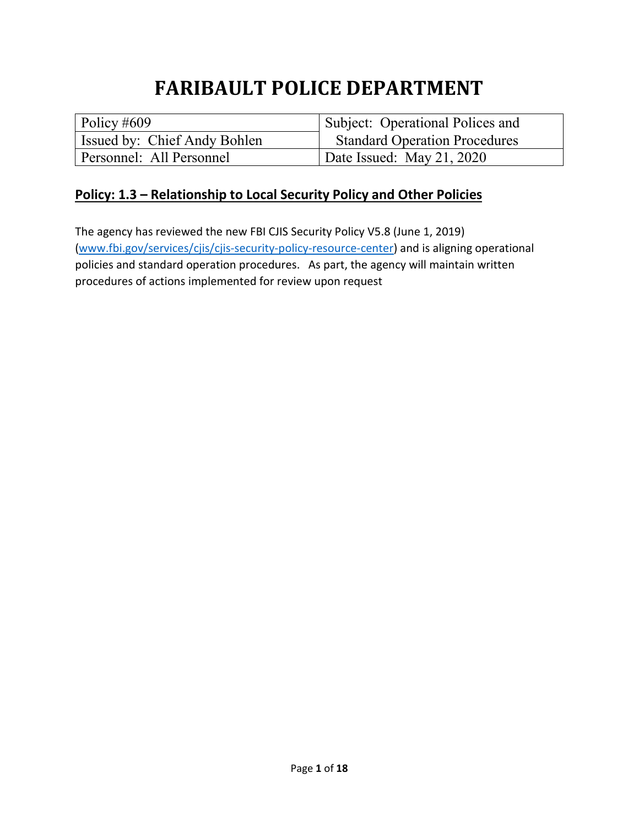# **FARIBAULT POLICE DEPARTMENT**

| Policy #609                  | Subject: Operational Polices and     |
|------------------------------|--------------------------------------|
| Issued by: Chief Andy Bohlen | <b>Standard Operation Procedures</b> |
| Personnel: All Personnel     | Date Issued: May 21, 2020            |

#### **Policy: 1.3 – Relationship to Local Security Policy and Other Policies**

The agency has reviewed the new FBI CJIS Security Policy V5.8 (June 1, 2019) [\(www.fbi.gov/services/cjis/cjis-security-policy-resource-center\)](http://www.fbi.gov/services/cjis/cjis-security-policy-resource-center) and is aligning operational policies and standard operation procedures. As part, the agency will maintain written procedures of actions implemented for review upon request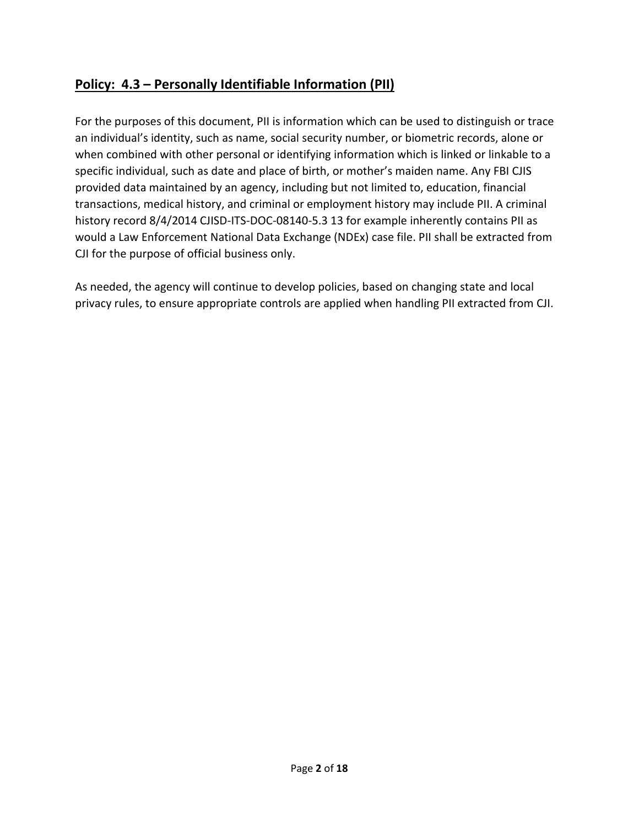# **Policy: 4.3 – Personally Identifiable Information (PII)**

For the purposes of this document, PII is information which can be used to distinguish or trace an individual's identity, such as name, social security number, or biometric records, alone or when combined with other personal or identifying information which is linked or linkable to a specific individual, such as date and place of birth, or mother's maiden name. Any FBI CJIS provided data maintained by an agency, including but not limited to, education, financial transactions, medical history, and criminal or employment history may include PII. A criminal history record 8/4/2014 CJISD-ITS-DOC-08140-5.3 13 for example inherently contains PII as would a Law Enforcement National Data Exchange (NDEx) case file. PII shall be extracted from CJI for the purpose of official business only.

As needed, the agency will continue to develop policies, based on changing state and local privacy rules, to ensure appropriate controls are applied when handling PII extracted from CJI.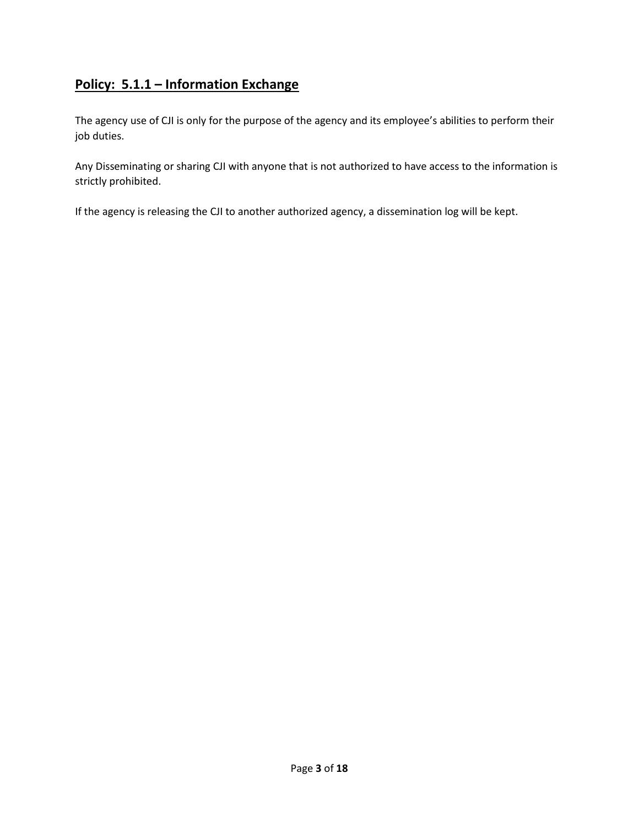# **Policy: 5.1.1 – Information Exchange**

The agency use of CJI is only for the purpose of the agency and its employee's abilities to perform their job duties.

Any Disseminating or sharing CJI with anyone that is not authorized to have access to the information is strictly prohibited.

If the agency is releasing the CJI to another authorized agency, a dissemination log will be kept.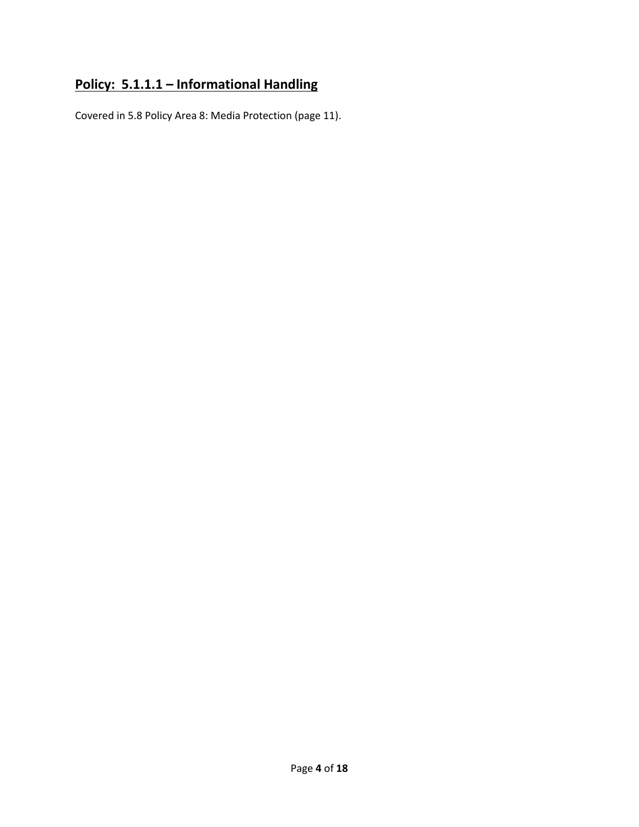# **Policy: 5.1.1.1 – Informational Handling**

Covered in 5.8 Policy Area 8: Media Protection (page 11).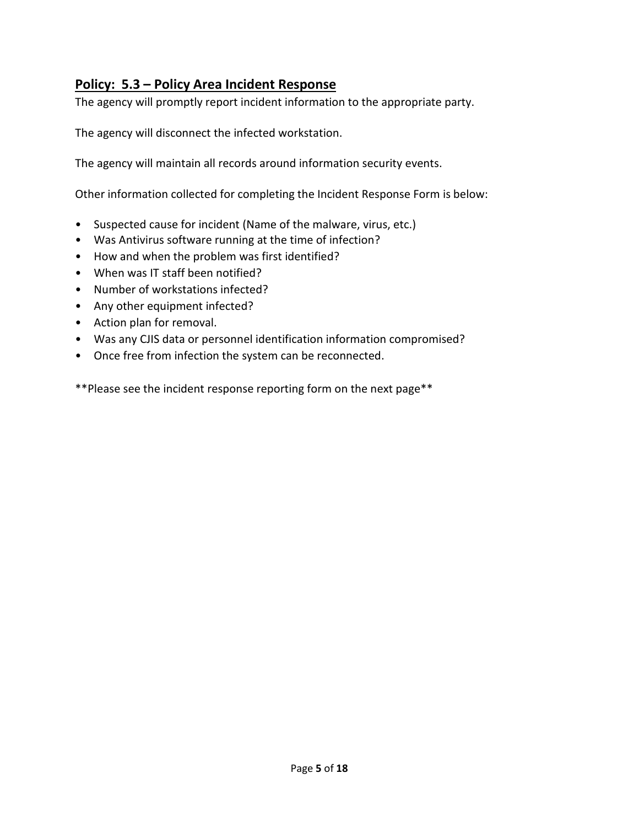## **Policy: 5.3 – Policy Area Incident Response**

The agency will promptly report incident information to the appropriate party.

The agency will disconnect the infected workstation.

The agency will maintain all records around information security events.

Other information collected for completing the Incident Response Form is below:

- Suspected cause for incident (Name of the malware, virus, etc.)
- Was Antivirus software running at the time of infection?
- How and when the problem was first identified?
- When was IT staff been notified?
- Number of workstations infected?
- Any other equipment infected?
- Action plan for removal.
- Was any CJIS data or personnel identification information compromised?
- Once free from infection the system can be reconnected.

\*\*Please see the incident response reporting form on the next page\*\*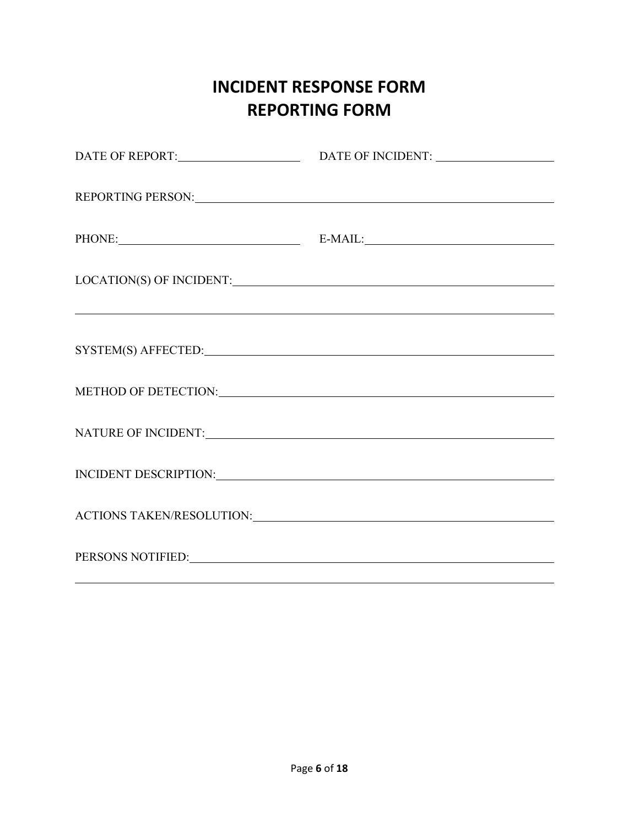# **INCIDENT RESPONSE FORM REPORTING FORM**

| PHONE: E-MAIL:                                                                                                                                                                                                                 |  |
|--------------------------------------------------------------------------------------------------------------------------------------------------------------------------------------------------------------------------------|--|
| <u> 1999 - Jan Barbara de Santo de Santo de Santo de Santo de Santo de Santo de Santo de Santo de Santo de Santo</u>                                                                                                           |  |
| SYSTEM(S) AFFECTED: New York Contract Contract Contract Contract Contract Contract Contract Contract Contract Contract Contract Contract Contract Contract Contract Contract Contract Contract Contract Contract Contract Cont |  |
|                                                                                                                                                                                                                                |  |
|                                                                                                                                                                                                                                |  |
| INCIDENT DESCRIPTION: University of the contract of the contract of the contract of the contract of the contract of the contract of the contract of the contract of the contract of the contract of the contract of the contra |  |
|                                                                                                                                                                                                                                |  |
| PERSONS NOTIFIED: University of the contract of the contract of the contract of the contract of the contract of the contract of the contract of the contract of the contract of the contract of the contract of the contract o |  |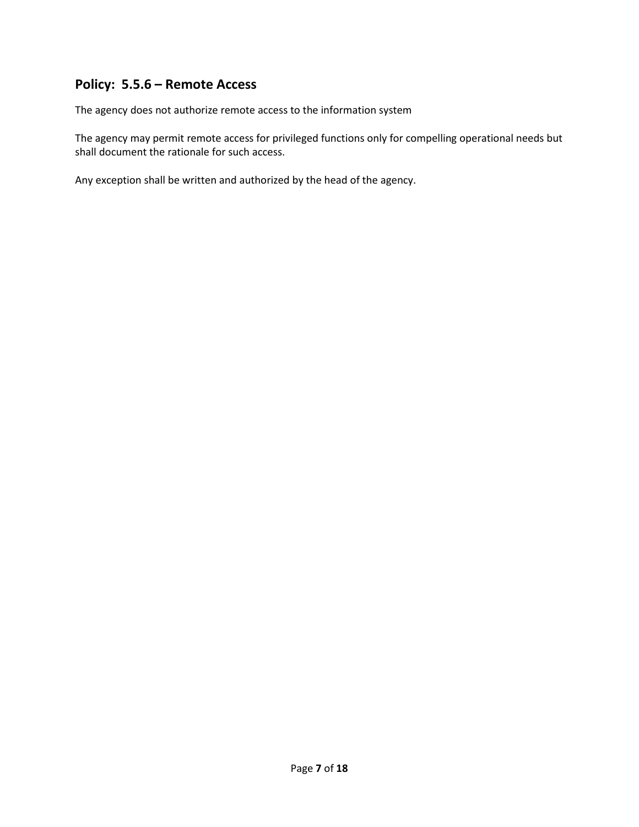#### **Policy: 5.5.6 – Remote Access**

The agency does not authorize remote access to the information system

The agency may permit remote access for privileged functions only for compelling operational needs but shall document the rationale for such access.

Any exception shall be written and authorized by the head of the agency.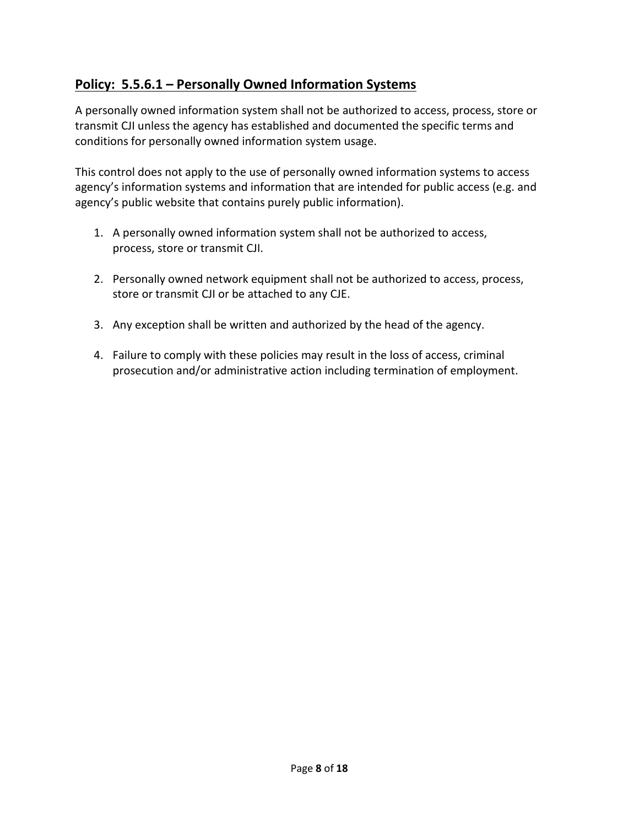# **Policy: 5.5.6.1 – Personally Owned Information Systems**

A personally owned information system shall not be authorized to access, process, store or transmit CJI unless the agency has established and documented the specific terms and conditions for personally owned information system usage.

This control does not apply to the use of personally owned information systems to access agency's information systems and information that are intended for public access (e.g. and agency's public website that contains purely public information).

- 1. A personally owned information system shall not be authorized to access, process, store or transmit CJI.
- 2. Personally owned network equipment shall not be authorized to access, process, store or transmit CJI or be attached to any CJE.
- 3. Any exception shall be written and authorized by the head of the agency.
- 4. Failure to comply with these policies may result in the loss of access, criminal prosecution and/or administrative action including termination of employment.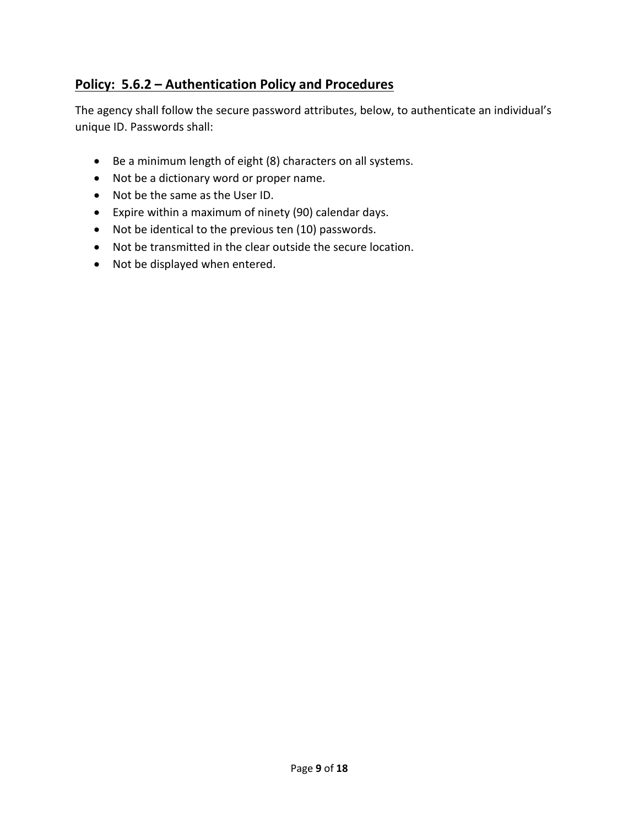# **Policy: 5.6.2 – Authentication Policy and Procedures**

The agency shall follow the secure password attributes, below, to authenticate an individual's unique ID. Passwords shall:

- Be a minimum length of eight (8) characters on all systems.
- Not be a dictionary word or proper name.
- Not be the same as the User ID.
- Expire within a maximum of ninety (90) calendar days.
- Not be identical to the previous ten (10) passwords.
- Not be transmitted in the clear outside the secure location.
- Not be displayed when entered.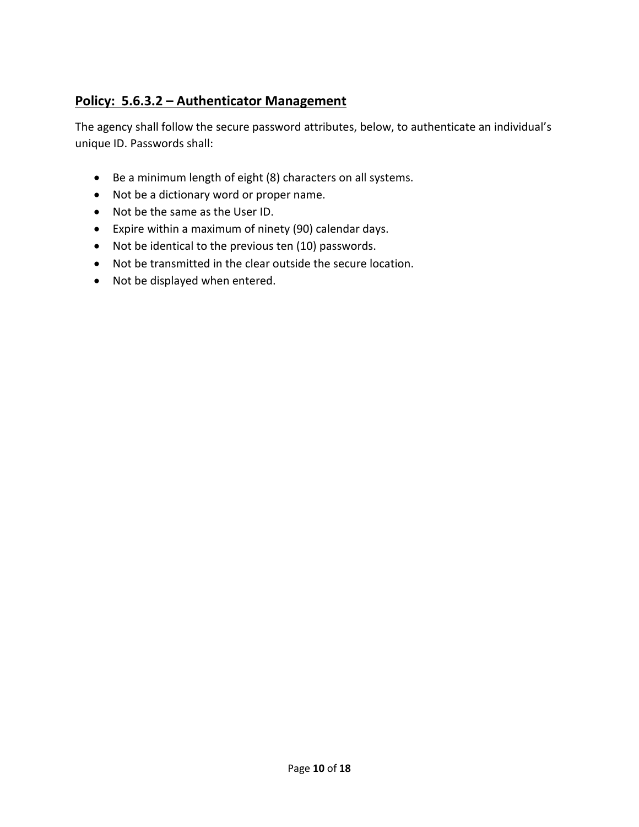# **Policy: 5.6.3.2 – Authenticator Management**

The agency shall follow the secure password attributes, below, to authenticate an individual's unique ID. Passwords shall:

- Be a minimum length of eight (8) characters on all systems.
- Not be a dictionary word or proper name.
- Not be the same as the User ID.
- Expire within a maximum of ninety (90) calendar days.
- Not be identical to the previous ten (10) passwords.
- Not be transmitted in the clear outside the secure location.
- Not be displayed when entered.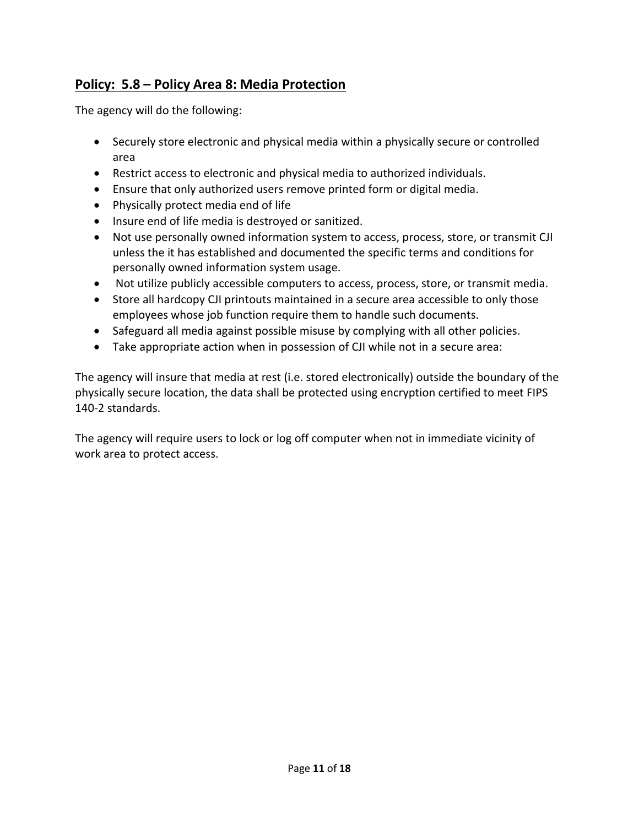# **Policy: 5.8 – Policy Area 8: Media Protection**

The agency will do the following:

- Securely store electronic and physical media within a physically secure or controlled area
- Restrict access to electronic and physical media to authorized individuals.
- Ensure that only authorized users remove printed form or digital media.
- Physically protect media end of life
- Insure end of life media is destroyed or sanitized.
- Not use personally owned information system to access, process, store, or transmit CJI unless the it has established and documented the specific terms and conditions for personally owned information system usage.
- Not utilize publicly accessible computers to access, process, store, or transmit media.
- Store all hardcopy CJI printouts maintained in a secure area accessible to only those employees whose job function require them to handle such documents.
- Safeguard all media against possible misuse by complying with all other policies.
- Take appropriate action when in possession of CJI while not in a secure area:

The agency will insure that media at rest (i.e. stored electronically) outside the boundary of the physically secure location, the data shall be protected using encryption certified to meet FIPS 140-2 standards.

The agency will require users to lock or log off computer when not in immediate vicinity of work area to protect access.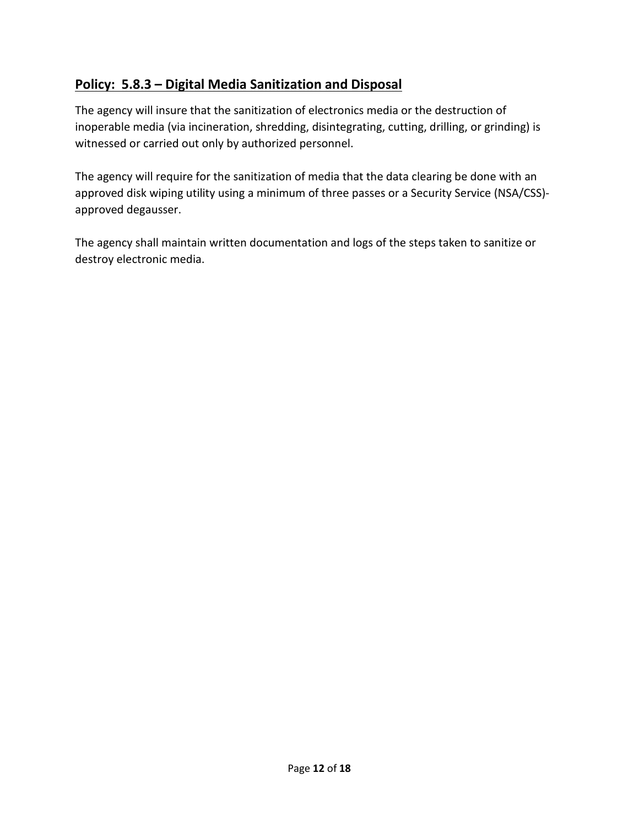# **Policy: 5.8.3 – Digital Media Sanitization and Disposal**

The agency will insure that the sanitization of electronics media or the destruction of inoperable media (via incineration, shredding, disintegrating, cutting, drilling, or grinding) is witnessed or carried out only by authorized personnel.

The agency will require for the sanitization of media that the data clearing be done with an approved disk wiping utility using a minimum of three passes or a Security Service (NSA/CSS) approved degausser.

The agency shall maintain written documentation and logs of the steps taken to sanitize or destroy electronic media.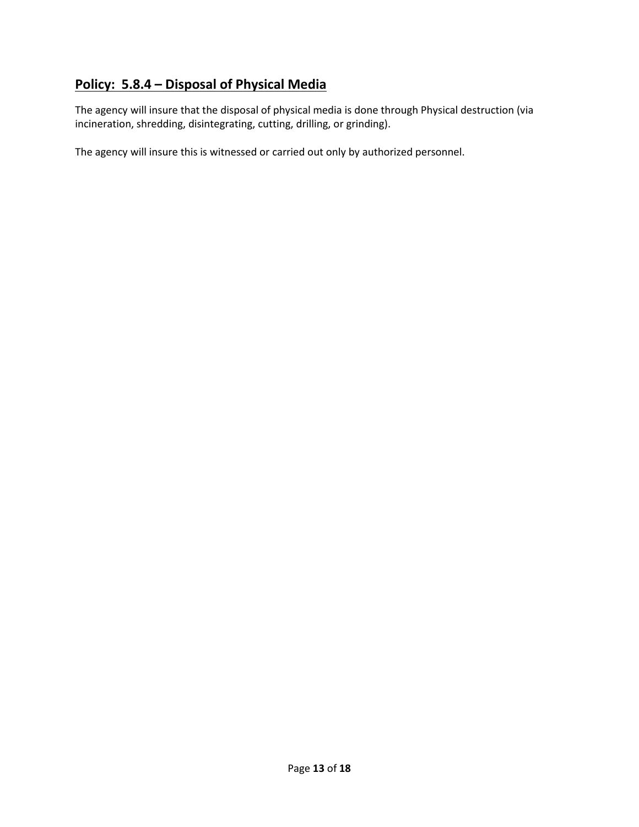## **Policy: 5.8.4 – Disposal of Physical Media**

The agency will insure that the disposal of physical media is done through Physical destruction (via incineration, shredding, disintegrating, cutting, drilling, or grinding).

The agency will insure this is witnessed or carried out only by authorized personnel.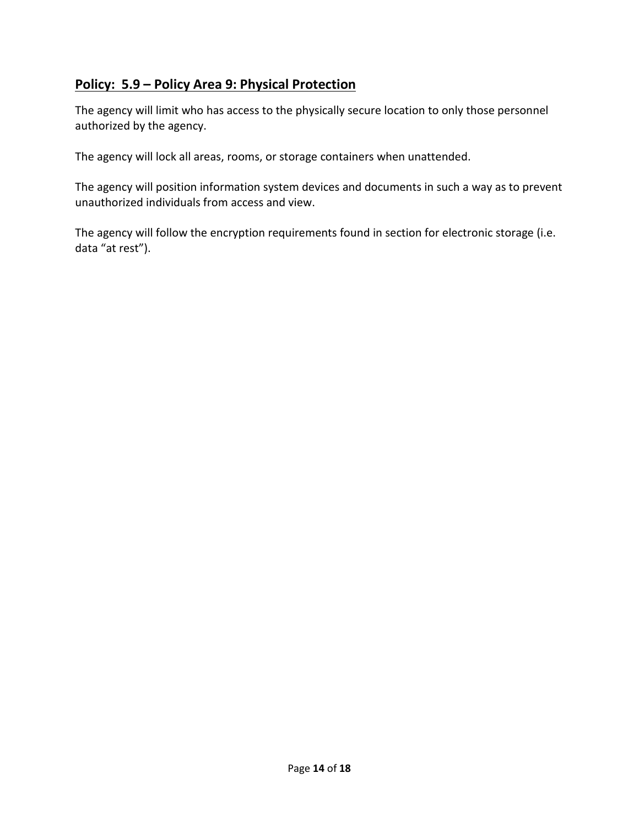## **Policy: 5.9 – Policy Area 9: Physical Protection**

The agency will limit who has access to the physically secure location to only those personnel authorized by the agency.

The agency will lock all areas, rooms, or storage containers when unattended.

The agency will position information system devices and documents in such a way as to prevent unauthorized individuals from access and view.

The agency will follow the encryption requirements found in section for electronic storage (i.e. data "at rest").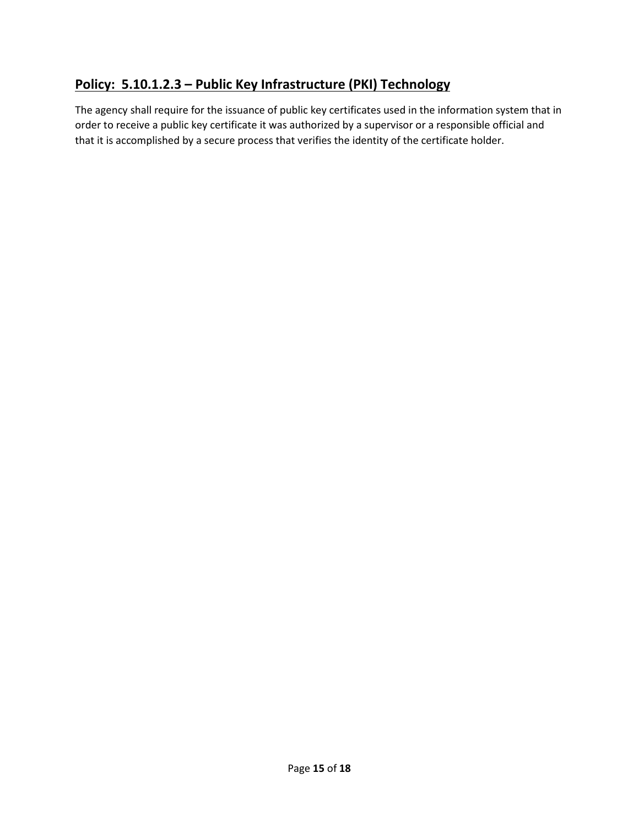## **Policy: 5.10.1.2.3 – Public Key Infrastructure (PKI) Technology**

The agency shall require for the issuance of public key certificates used in the information system that in order to receive a public key certificate it was authorized by a supervisor or a responsible official and that it is accomplished by a secure process that verifies the identity of the certificate holder.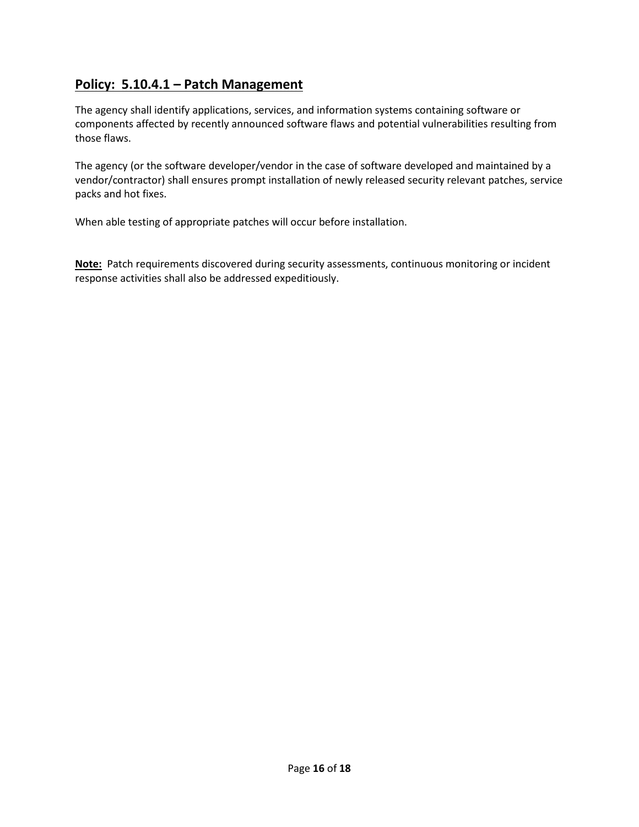#### **Policy: 5.10.4.1 – Patch Management**

The agency shall identify applications, services, and information systems containing software or components affected by recently announced software flaws and potential vulnerabilities resulting from those flaws.

The agency (or the software developer/vendor in the case of software developed and maintained by a vendor/contractor) shall ensures prompt installation of newly released security relevant patches, service packs and hot fixes.

When able testing of appropriate patches will occur before installation.

**Note:** Patch requirements discovered during security assessments, continuous monitoring or incident response activities shall also be addressed expeditiously.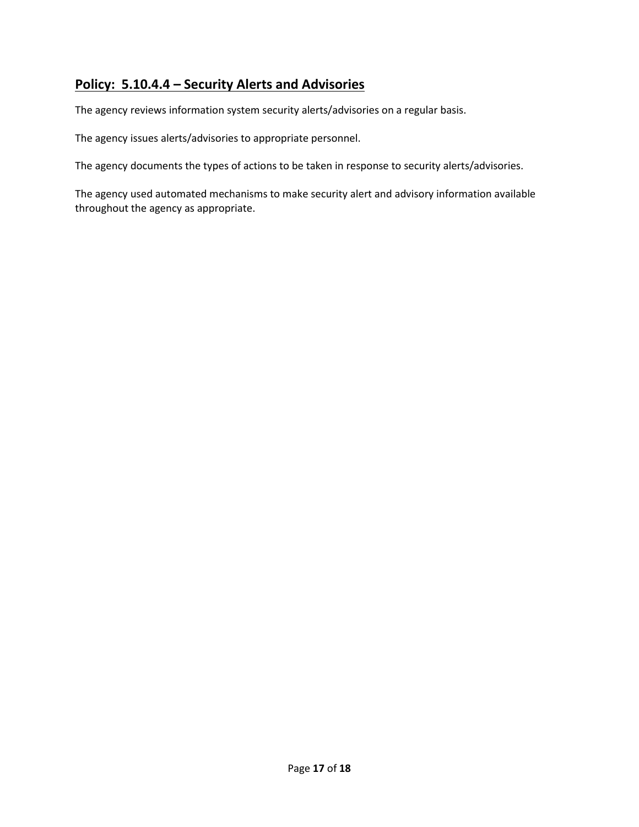#### **Policy: 5.10.4.4 – Security Alerts and Advisories**

The agency reviews information system security alerts/advisories on a regular basis.

The agency issues alerts/advisories to appropriate personnel.

The agency documents the types of actions to be taken in response to security alerts/advisories.

The agency used automated mechanisms to make security alert and advisory information available throughout the agency as appropriate.